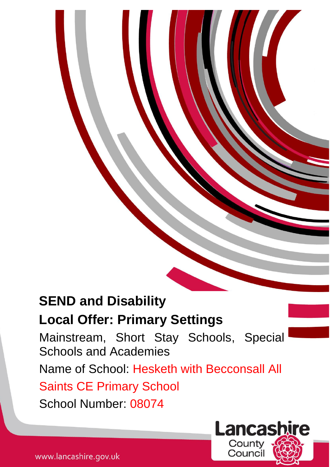# **SEND and Disability**

# **Local Offer: Primary Settings**

Mainstream, Short Stay Schools, Special Schools and Academies Name of School: Hesketh with Becconsall All Saints CE Primary School

1

School Number: 08074

Lancashire County Council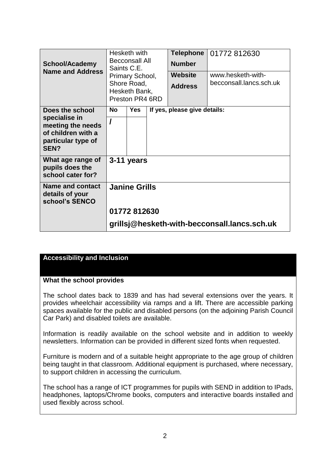| <b>School/Academy</b><br><b>Name and Address</b>                                       | Hesketh with<br><b>Becconsall All</b><br>Saints C.E.<br>Primary School,<br>Shore Road,<br>Hesketh Bank,<br>Preston PR4 6RD |            |                              | <b>Telephone</b><br><b>Number</b><br><b>Website</b><br><b>Address</b> | 01772812630<br>www.hesketh-with-<br>becconsall.lancs.sch.uk |
|----------------------------------------------------------------------------------------|----------------------------------------------------------------------------------------------------------------------------|------------|------------------------------|-----------------------------------------------------------------------|-------------------------------------------------------------|
| Does the school                                                                        | <b>No</b>                                                                                                                  | <b>Yes</b> | If yes, please give details: |                                                                       |                                                             |
| specialise in<br>meeting the needs<br>of children with a<br>particular type of<br>SEN? |                                                                                                                            |            |                              |                                                                       |                                                             |
| What age range of<br>pupils does the<br>school cater for?                              | 3-11 years                                                                                                                 |            |                              |                                                                       |                                                             |
| <b>Name and contact</b><br>details of your<br>school's SENCO                           | <b>Janine Grills</b>                                                                                                       |            |                              |                                                                       |                                                             |
|                                                                                        | 01772812630                                                                                                                |            |                              |                                                                       |                                                             |
|                                                                                        | grillsj@hesketh-with-becconsall.lancs.sch.uk                                                                               |            |                              |                                                                       |                                                             |

## **Accessibility and Inclusion**

## **What the school provides**

The school dates back to 1839 and has had several extensions over the years. It provides wheelchair accessibility via ramps and a lift. There are accessible parking spaces available for the public and disabled persons (on the adjoining Parish Council Car Park) and disabled toilets are available.

Information is readily available on the school website and in addition to weekly newsletters. Information can be provided in different sized fonts when requested.

Furniture is modern and of a suitable height appropriate to the age group of children being taught in that classroom. Additional equipment is purchased, where necessary, to support children in accessing the curriculum.

The school has a range of ICT programmes for pupils with SEND in addition to IPads, headphones, laptops/Chrome books, computers and interactive boards installed and used flexibly across school.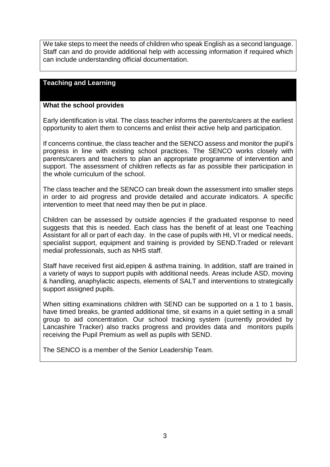We take steps to meet the needs of children who speak English as a second language. Staff can and do provide additional help with accessing information if required which can include understanding official documentation.

## **Teaching and Learning**

#### **What the school provides**

Early identification is vital. The class teacher informs the parents/carers at the earliest opportunity to alert them to concerns and enlist their active help and participation.

If concerns continue, the class teacher and the SENCO assess and monitor the pupil's progress in line with existing school practices. The SENCO works closely with parents/carers and teachers to plan an appropriate programme of intervention and support. The assessment of children reflects as far as possible their participation in the whole curriculum of the school.

The class teacher and the SENCO can break down the assessment into smaller steps in order to aid progress and provide detailed and accurate indicators. A specific intervention to meet that need may then be put in place.

Children can be assessed by outside agencies if the graduated response to need suggests that this is needed. Each class has the benefit of at least one Teaching Assistant for all or part of each day. In the case of pupils with HI, VI or medical needs, specialist support, equipment and training is provided by SEND.Traded or relevant medial professionals, such as NHS staff.

Staff have received first aid,epipen & asthma training. In addition, staff are trained in a variety of ways to support pupils with additional needs. Areas include ASD, moving & handling, anaphylactic aspects, elements of SALT and interventions to strategically support assigned pupils.

When sitting examinations children with SEND can be supported on a 1 to 1 basis, have timed breaks, be granted additional time, sit exams in a quiet setting in a small group to aid concentration. Our school tracking system (currently provided by Lancashire Tracker) also tracks progress and provides data and monitors pupils receiving the Pupil Premium as well as pupils with SEND.

The SENCO is a member of the Senior Leadership Team.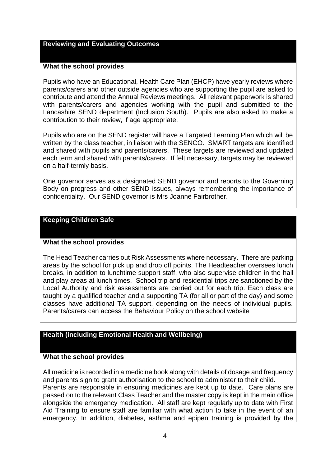#### **Reviewing and Evaluating Outcomes**

#### **What the school provides**

Pupils who have an Educational, Health Care Plan (EHCP) have yearly reviews where parents/carers and other outside agencies who are supporting the pupil are asked to contribute and attend the Annual Reviews meetings. All relevant paperwork is shared with parents/carers and agencies working with the pupil and submitted to the Lancashire SEND department (Inclusion South). Pupils are also asked to make a contribution to their review, if age appropriate.

Pupils who are on the SEND register will have a Targeted Learning Plan which will be written by the class teacher, in liaison with the SENCO. SMART targets are identified and shared with pupils and parents/carers. These targets are reviewed and updated each term and shared with parents/carers. If felt necessary, targets may be reviewed on a half-termly basis.

One governor serves as a designated SEND governor and reports to the Governing Body on progress and other SEND issues, always remembering the importance of confidentiality. Our SEND governor is Mrs Joanne Fairbrother.

#### **Keeping Children Safe**

#### **What the school provides**

The Head Teacher carries out Risk Assessments where necessary. There are parking areas by the school for pick up and drop off points. The Headteacher oversees lunch breaks, in addition to lunchtime support staff, who also supervise children in the hall and play areas at lunch times. School trip and residential trips are sanctioned by the Local Authority and risk assessments are carried out for each trip. Each class are taught by a qualified teacher and a supporting TA (for all or part of the day) and some classes have additional TA support, depending on the needs of individual pupils. Parents/carers can access the Behaviour Policy on the school website

## **Health (including Emotional Health and Wellbeing)**

#### **What the school provides**

All medicine is recorded in a medicine book along with details of dosage and frequency and parents sign to grant authorisation to the school to administer to their child. Parents are responsible in ensuring medicines are kept up to date. Care plans are passed on to the relevant Class Teacher and the master copy is kept in the main office alongside the emergency medication. All staff are kept regularly up to date with First Aid Training to ensure staff are familiar with what action to take in the event of an emergency. In addition, diabetes, asthma and epipen training is provided by the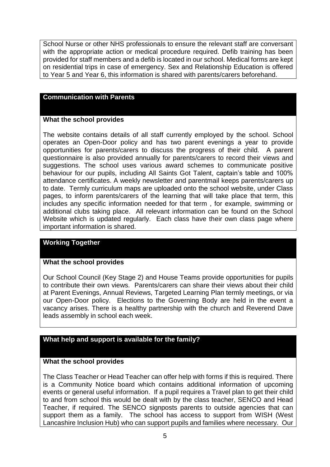School Nurse or other NHS professionals to ensure the relevant staff are conversant with the appropriate action or medical procedure required. Defib training has been provided for staff members and a defib is located in our school. Medical forms are kept on residential trips in case of emergency. Sex and Relationship Education is offered to Year 5 and Year 6, this information is shared with parents/carers beforehand.

## **Communication with Parents**

## **What the school provides**

The website contains details of all staff currently employed by the school. School operates an Open-Door policy and has two parent evenings a year to provide opportunities for parents/carers to discuss the progress of their child. A parent questionnaire is also provided annually for parents/carers to record their views and suggestions. The school uses various award schemes to communicate positive behaviour for our pupils, including All Saints Got Talent, captain's table and 100% attendance certificates. A weekly newsletter and parentmail keeps parents/carers up to date. Termly curriculum maps are uploaded onto the school website, under Class pages, to inform parents/carers of the learning that will take place that term, this includes any specific information needed for that term , for example, swimming or additional clubs taking place. All relevant information can be found on the School Website which is updated regularly. Each class have their own class page where important information is shared.

# **Working Together**

# **What the school provides**

Our School Council (Key Stage 2) and House Teams provide opportunities for pupils to contribute their own views. Parents/carers can share their views about their child at Parent Evenings, Annual Reviews, Targeted Learning Plan termly meetings, or via our Open-Door policy. Elections to the Governing Body are held in the event a vacancy arises. There is a healthy partnership with the church and Reverend Dave leads assembly in school each week.

# **What help and support is available for the family?**

# **What the school provides**

The Class Teacher or Head Teacher can offer help with forms if this is required. There is a Community Notice board which contains additional information of upcoming events or general useful information. If a pupil requires a Travel plan to get their child to and from school this would be dealt with by the class teacher, SENCO and Head Teacher, if required. The SENCO signposts parents to outside agencies that can support them as a family. The school has access to support from WISH (West Lancashire Inclusion Hub) who can support pupils and families where necessary. Our